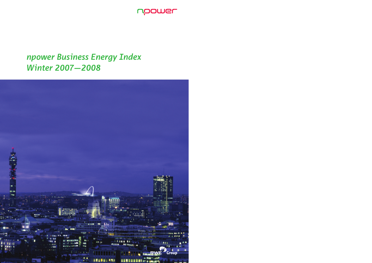

# *npower Business Energy Index Winter 2007—2008*

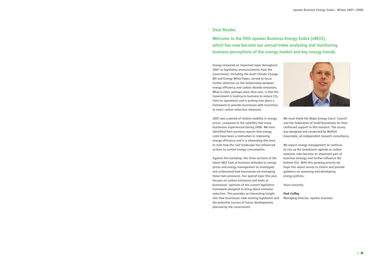**1**



**Energy remained an important topic throughout 2007 as legislative announcements from the Government, including the draft Climate Change Bill and Energy White Paper, served to focus further attention on the relationship between energy efficiency and carbon dioxide emissions. What is clear, perhaps more than ever, is that the Government is looking to business to reduce CO2 from its operations and is putting into place a framework to provide businesses with incentives to enact carbon reduction measures.**

**2007 was a period of relative stability in energy prices, compared to the volatility that many businesses experienced during 2006. We have identified from previous reports that energy costs have been a motivation in improving energy efficiency and it is interesting this time to note how the cost landscape has influenced actions to control energy consumption.**

**Against this backdrop, the three sections of the latest nBEI look at business attitudes to energy prices and energy management to investigate and understand how businesses are managing these twin pressures. Our special topic this year focuses on carbon emissions and looks at businesses' opinions of the current legislative framework designed to bring about emission reduction. This provides an interesting insight into how businesses view existing legislation and the potential success of future developments planned by the Government.**

# **Dear Reader,**

**Welcome to the fifth npower Business Energy Index (nBEI5), which has now become our annual index analysing and monitoring business perceptions of the energy market and key energy trends.**

> **We must thank the Major Energy Users' Council and the Federation of Small Businesses for their continued support in this research. The survey was designed and conducted by Moffatt Associates, an independent research consultancy.**

**We expect energy management to continue to rise up the boardroom agenda as carbon emission risks become an important part of business strategy and further influence the bottom line. With this growing priority we hope this report serves to inform and provide guidance on assessing and developing energy policies.**

**Yours sincerely,**

**Paul Coffey Managing Director, npower business**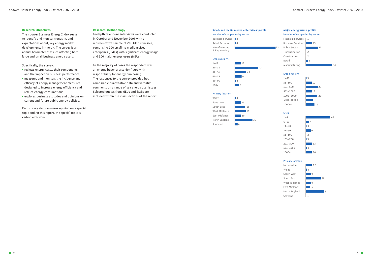### **Major energy users' profile**



**Financial Services** 1 **Business Services** 13 **Public Sector 23 Transportation 2 Construction 2 Retail 5 Manufacturing 54**



### **Employees (%)**

**1—50 3 51—100 10 101—500 23 501—1000 13 1001—5000 20 5001—10000 15 10000+ 16**

### **Sites**

| $1 - 5$    |                |
|------------|----------------|
| $6 - 10$   | 17             |
| $11 - 20$  | 3              |
| $21 - 50$  | <b>9</b>       |
| $51 - 100$ | $\overline{2}$ |
| 101-200    | $\overline{3}$ |
| 201-500    | 13             |
| 501-1000   | 4              |
| $1000+$    | 10             |



#### **Primary location**

Nationwide 12 **Wales 4** South West **9** West Midlands **9** East Midlands **6** Scotland 1



### **Research Objectives**

**The npower Business Energy Index seeks to identify and monitor trends in, and expectations about, key energy market developments in the UK. The survey is an annual barometer of issues affecting both large and small business energy users.**

**Specifically, the survey:**

- **• reviews energy costs, their components and the impact on business performance;**
- **• measures and monitors the incidence and efficacy of energy management measures designed to increase energy efficiency and reduce energy consumption;**
- **• explores business attitudes and opinions on current and future public energy policies.**

**Wales 4 South West** West Midlands East Midlands 10 **North England** Scotland 6

**Each survey also canvasses opinion on a special topic and, in this report, the special topic is carbon emissions.**

#### **Research Methodology**

**In-depth telephone interviews were conducted in October and November 2007 with a representative sample of 200 UK businesses, comprising 100 small- to medium-sized enterprises (SMEs) with significant energy usage and 100 major energy users (MEUs).** 

**In the majority of cases the respondent was an energy buyer or a senior figure with responsibility for energy purchasing. The responses to the survey provided both comparable quantitative data and verbatim comments on a range of key energy user issues. Selected quotes from MEUs and SMEs are included within the main sections of the report.**

# **Small- and medium-sized enterprises' profile**

### **Number of companies by sector**

**Business Services 3**



**Employees (%)**

**20—39 43**



**60—79 14 80—99 4 100+ 8**

#### **Primary location**

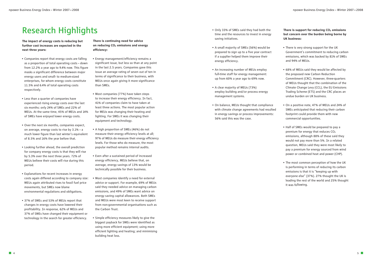- **Only 33% of SMEs said they had both the time and the resources to invest in energy saving initiatives.**
- **A small majority of SMEs (56%) would be prepared to sign up to a five year contract if a supplier helped them improve their energy efficiency.**
- **An increasing number of MEUs employ full-time staff for energy management: up from 60% a year ago to 69% now.**
- **A clear majority of MEUs (73%) employ building and/or process energy management systems.**
- **On balance, MEUs thought that compliance with climate change agreements had resulted in energy savings or process improvements: 56% said this was the case.**

There is support for reducing CO<sub>2</sub> emissions **but concern over the burden being borne by UK business:**

- **There is very strong support for the UK Government's commitment to reducing carbon emissions, which was backed by 81% of SMEs and 94% of MEUs.**
- **68% of MEUs said they would be affected by the proposed new Carbon Reduction Commitment (CRC). However, three-quarters of MEUs thought that the combination of the Climate Change Levy (CCL), the EU Emissions Trading Scheme (ETS) and the CRC places an undue burden on UK business.**
- **On a positive note, 47% of MEUs and 24% of SMEs anticipated that reducing their carbon footprint could provide them with new commercial opportunities.**
- **• Half of SMEs would be prepared to pay a premium for energy that reduces CO2 emissions, although 88% of these said they would not pay more than 5%. In a related question, MEUs said they were most likely to pay a premium for energy sourced from wind power or combined heat and power (CHP).**
- **The most common perception of how the UK is performing in terms of reducing its carbon emissions is that it is "keeping up with everyone else" (37%). 27% thought the UK is leading the rest of the world and 25% thought it was following.**

**The impact of energy costs is reducing but further cost increases are expected in the next three years:**

- **Companies report that energy costs are falling as a proportion of total operating costs – down from 12.2% a year ago to 9.4% now. This figure masks a significant difference between major energy users and small- to medium-sized enterprises, for whom energy costs constitute 11.5% and 6.4% of total operating costs respectively.**
- **Less than a quarter of companies have experienced rising energy costs over the last six months: only 24% of SMEs and 22% of MEUs. At the same time, 45% of MEUs and 14% of SMEs have enjoyed lower energy costs.**
- **Over the next six months, companies expect, on average, energy costs to rise by 3.1% – a much lower figure than last winter's equivalent of 8.5% and 16% the year before that.**
- **Looking further ahead, the overall prediction for company energy costs is that they will rise by 5.3% over the next three years. 72% of MEUs believe their costs will rise during this period.**
- **Explanations for recent increases in energy costs again differed according to company size: MEUs again attributed rises to fossil fuel price movements, but SMEs now blame environmental regulations and obligations.**
- **37% of SMEs and 53% of MEUs report that changes in energy costs have lowered their profitability. In response, 62% of MEUs and 37% of SMEs have changed their equipment or technology in the search for greater efficiency.**

**There is continuing need for advice on reducing CO2 emissions and energy efficiency:**

- **• Energy management/efficiency remains a significant issue, but less so than at any point in the last 2.5 years. Companies gave this issue an average rating of seven out of ten in terms of significance to their business, with MEUs once again giving it more significance than SMEs.**
- **Most companies (77%) have taken steps to increase their energy efficiency. In fact, 41% of companies claim to have taken at least three actions. The most popular action for MEUs was changing their heating and lighting. For SMEs it was changing their equipment and technology.**
- **A high proportion of SMEs (46%) do not measure their energy efficiency levels at all; 97% of MEUs do measure their energy efficiency levels. For those who do measure, the most popular method remains internal audits.**
- **Even after a sustained period of increased energy efficiency, MEUs believe that, on average, energy savings of 13% would be technically possible for their business.**
- **Most companies identify a need for external advice or support. For example, 69% of MEUs said they needed advice on managing carbon emissions, and 49% of SMEs want advice on energy saving capital allowances. Both SMEs and MEUs were most keen to receive support from non-governmental organisations such as the Carbon Trust.**
- **Simple efficiency measures likely to give the biggest payback for SMEs were identified as using more efficient equipment; using more efficient lighting and heating; and minimising building heat loss.**

# **Research Highlights**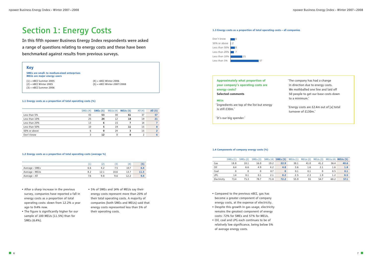- **Compared to the previous nBEI, gas has become a greater component of company energy costs, at the expense of electricity.**
- **• Despite this growth in gas usage, electricity remains the greatest component of energy costs: 72% for SMEs and 57% for MEUs.**
- **Oil, coal and LPG each continues to be of relatively low significance, being below 5% of average energy costs.**

#### **1.3 Energy costs as a proportion of total operating costs – all companies**

# **Approximately what proportion of your company's operating costs are energy costs? Selected comments**

#### **MEUs**

**'Ingredients are top of the list but energy is still £30m.'**

**'It's our big spender.'**

**'The company has had a change in direction due to energy costs. We mothballed one line and laid off 50 people to get our base costs down to a minimum.'**

**'Energy costs are £2.4m out of [a] total turnover of £130m.'**

- **• After a sharp increase in the previous survey, companies have reported a fall in energy costs as a proportion of total operating costs: down from 12.2% a year ago to 9.4% now.**
- **The figure is significantly higher for our sample of 100 MEUs (11.5%) than for SMEs (6.4%).**
- **• 5% of SMEs and 14% of MEUs say their energy costs represent more than 20% of their total operating costs. A majority of companies (both SMEs and MEUs) said that energy costs represented less than 5% of their operating costs.**

# **Section 1: Energy Costs**

**In this fifth npower Business Energy Index respondents were asked a range of questions relating to energy costs and these have been benchmarked against results from previous surveys.**

#### **1.1 Energy costs as a proportion of total operating costs (%)**

|               | SMEs(4) | <b>SMEs</b> (5) | MEUs(4) | MEUs(5) | All $(4)$ | All (5) |
|---------------|---------|-----------------|---------|---------|-----------|---------|
| Less than 5%  | 43      | 53              | 30      | 61      | 37        | 57      |
| Less than 10% | 25      | 24              | 12      | 18      | 19        | 21      |
| Less than 20% | 13      | 6               | 15      |         | 14        |         |
| Less than 50% | 10      | 5               | 19      | 11      | 15        |         |
| 50% or above  | 6       | 0               | 24      | 3       | 15        |         |
| Don't know    |         | 12              |         | 0       |           |         |

#### **1.4 Components of company energy costs (%)**

|             | SMEs(1) | SMEs(2) | SMEs(3) |      | SMEs (4) <b>SMEs (5)</b> | MEUs(1) | MEUs(2) | MEUs(3) |      | $MEUs(4)$ <b>MEUs(5)</b> |
|-------------|---------|---------|---------|------|--------------------------|---------|---------|---------|------|--------------------------|
| Gas         | 18.8    | 18.1    | 16.0    | 19.2 | 22.9                     | 38.1    | 41.0    | 41.2    | 36.4 | 40.6                     |
| Oil         | 6.4     | 6.6     | 4.9     | 4.2  | 4.8                      | 3.6     | 1.6     | 2.1     | 1.6  | 1.8                      |
| Coal        |         |         | 0       | 0.7  | $\mathbf{0}$             | 0.1     | 0.1     |         | 0.5  | 0.1                      |
| <b>LPG</b>  | 1.4     | 0.1     | 0.1     | 2.1  | 0.2                      | 2.5     | 2.3     | 1.9     | 1.2  | 0.5                      |
| Electricity | 73.4    | 75.3    | 78.7    | 73.8 | 72.2                     | 55.9    | 55      | 54.7    | 60.2 | 57.1                     |

#### **1.2 Energy costs as a proportion of total operating costs (average %)**

|                |     | 2    | د    | (4)  | (5   |
|----------------|-----|------|------|------|------|
| Average – SMEs | 6.6 | 4.2  |      | 10.7 | 6.4  |
| Average – MEUs | 8.2 | 12.1 | 10.6 |      | 11.5 |
| Average - All  | 7.6 | 9.8  | 9.6  |      | 9.4  |

# **Key**

**SMEs are small- to medium-sized enterprises MEUs are major energy users**

> **(4) = nBEI Winter 2006 (5) = nBEI Winter 2007/2008**

**(1) = nBEI Summer 2005 (2) = nBEI Winter 2005 (3) = nBEI Summer 2006**

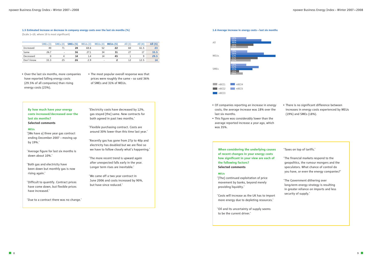## **When considering the underlying causes of recent changes in your energy costs how significant in your view are each of the following factors? Selected comments**

#### **MEUs**

**'[The] continued exploitation of price movement by banks, beyond merely providing liquidity.'**

**'Costs will increase as the UK has to import more energy due to depleting resources.'**

**'Oil and its uncertainty of supply seems to be the current driver.'**

**'Taxes on top of tariffs.'**

- **'The financial markets respond to the geopolitics, the rumour mongers and the speculators. What chance of control do you have, or even the energy companies?'**
- **'The Government dithering over long-term energy strategy is resulting in greater reliance on imports and less security of supply.'**
- **Of companies reporting an increase in energy costs, the average increase was 18% over the last six months.**
- **• This figure was considerably lower than the average reported increase a year ago, which was 35%.**

**• There is no significant difference between increases in energy costs experienced by MEUs (19%) and SMEs (18%).**

#### **1.6 Average increase in energy costs – last six months**

- **Over the last six months, more companies have reported falling energy costs (29.5% of all companies) than rising energy costs (23%).**
- **The most popular overall response was that prices were roughly the same – so said 36% of SMEs and 31% of MEUs.**

**By how much have your energy costs increased/decreased over the last six months? Selected comments**

#### **MEUs**

**'[We have a] three year gas contract ending December 2007 – moving up by 19%.'**

**'Average figure for last six months is down about 10%.'**

**'Both gas and electricity have been down but monthly gas is now rising again.'**

**'Difficult to quantify. Contract prices have come down, but flexible prices have increased.'**

**'Due to a contract there was no change.'**

**'Electricity costs have decreased by 12%, gas stayed [the] same. New contracts for both agreed in past two months.'**

**'Flexible purchasing contract. Costs are around 30% lower than this time last year.'**

**'Recently gas has gone from 27p to 40p and electricity has doubled but we are flexi so we have to follow closely what's happening.'**

**'The more recent trend is upward again after unexpected falls early in the year. Longer term rises are inevitable.'**

**'We came off a two year contract in June 2006 and costs increased by 90%, but have since reduced.'**

#### **1.5 Estimated increase or decrease in company energy costs over the last six months (%)**

**(Scale 1—10, where 10 is most significant)**

|            | SMEs(3) | SMEs(4)                  | <b>SMEs</b> (5) | MEUs(3) | MEUs(4)                  | MEUs(5) | All $(3)$ | All $(4)$ | All $(5)$ |
|------------|---------|--------------------------|-----------------|---------|--------------------------|---------|-----------|-----------|-----------|
| Increased  | 40      |                          | 24              | 68.6    | 52                       | 22      | 60        | 61.5      | 23        |
| Same       | 26.7    | $\overline{\phantom{a}}$ | 36              | 27.1    | 34                       | 31      |           |           | 33.5      |
| Decreased  |         |                          | 14              | 1.4     | 14                       | 45      |           | a         | 29.5      |
| Don't know | 33.3    | 25                       | 26              | 2.9     | $\overline{\phantom{0}}$ |         | 12        | 12.5      | 14        |

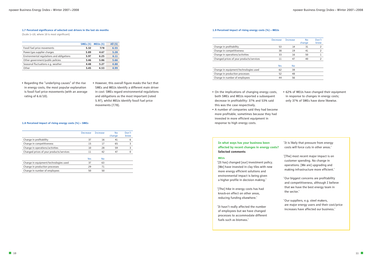# **In what ways has your business been affected by recent changes in energy costs? Selected comments**

### **MEUs**

**'[It has] changed [our] investment policy. [We] have invested in clay tiles with new more energy efficient solutions and environmental impact is being given a higher profile in decision making.'**

**'[The] hike in energy costs has had knock-on effect on other areas, reducing funding elsewhere.'**

**'It hasn't really affected the number of employees but we have changed processes to accommodate different fuels such as biomass.'**

**'It is likely that pressure from energy costs will force cuts in other areas.'**

- **'[The] most recent major impact is on customer spending. No change in operations. [We are] upgrading and making infrastructure more efficient.'**
- **'Our biggest concerns are profitability and competitiveness, although I believe that we have the best energy team in the sector.'**
- **'Our suppliers, e.g. steel makers, are major energy users and their cost/price increases have affected our business.'**
- **Regarding the "underlying causes" of the rise in energy costs, the most popular explanation is fossil fuel price movements (with an average rating of 6.6/10).**
- **However, this overall figure masks the fact that SMEs and MEUs identify a different main driver in cost: SMEs regard environmental regulations and obligations as the most important (rated 5.97), whilst MEUs identify fossil fuel price movements (7.78).**

#### **1.7 Perceived significance of selected cost drivers in the last six months**

**(Scale 1—10, where 10 is most significant)**

|                                           | <b>SMEs</b> (5) | MEUs(5) | All (5) |
|-------------------------------------------|-----------------|---------|---------|
| Fossil fuel price movements               | 5.32            | 7.78    | 6.55    |
| Power/gas supplier charges                | 5.89            | 4.67    | 5.28    |
| Environmental regulations and obligations | 5.97            | 6.25    | 6.11    |
| Other government/public policies          | 5.46            | 5.86    | 5.66    |
| Seasonal fluctuations e.g. weather        | 4.48            | 5.27    | 4.88    |
| Other                                     | 5.45            | 4.53    | 4.99    |

#### **1.8 Perceived impact of rising energy costs (%) – SMEs**

|                                          | Decrease | <b>Tncrease</b> | No<br>change | Don't<br>know |
|------------------------------------------|----------|-----------------|--------------|---------------|
| Change in profitability                  | 37       | 16              | 41           | 6             |
| Change in competitiveness                | 15       | 17              | 65           | 3             |
| Change in operations/activities          | 10       | 28              | 59           | 3             |
| Changed prices of your products/services | 11       | 42              | 47           | 0             |
|                                          |          |                 |              |               |
|                                          | Yes      | No              |              |               |
| Change in equipment/technologies used    | 37       | 63              |              |               |
| Change in production processes           | 29       | 71              |              |               |
| Change in number of employees            | 50       | 50              |              |               |

### **1.9 Perceived impact of rising energy costs (%) – MEUs**

|                                          | <b>Decrease</b> | <b>Increase</b> | <b>No</b><br>change | Don't<br>know |
|------------------------------------------|-----------------|-----------------|---------------------|---------------|
| Change in profitability                  | 53              | 14              | 31                  | 2             |
| Change in competitiveness                | 38              | 19              | 41                  | 2             |
| Change in operations/activities          | 33              | 16              | 50                  |               |
| Changed prices of your products/services | 11              | 47              | 40                  |               |
|                                          | Yes             | <b>No</b>       |                     |               |
| Change in equipment/technologies used    | 62              | 38              |                     |               |
| Change in production processes           | 52              | 48              |                     |               |
| Change in number of employees            | 44              | 56              |                     |               |
|                                          |                 |                 |                     |               |

- **On the implications of changing energy costs, both SMEs and MEUs reported a subsequent decrease in profitability: 37% and 53% said this was the case respectively.**
- **A number of companies said they had become more profitable, sometimes because they had invested in more efficient equipment in response to high energy costs.**

**• 62% of MEUs have changed their equipment in response to changes in energy costs; only 37% of SMEs have done likewise.**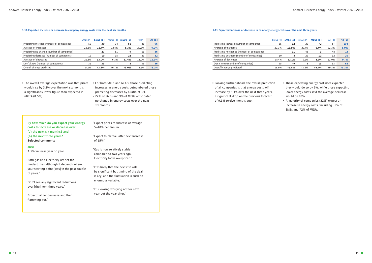#### **1.10 Expected increase or decrease in company energy costs over the next six months**

|                                            | SMEs(4)                  | <b>SMEs</b> (5) | MEUs(4)  | MEUs(5) | All $(4)$ | All $(5)$ |
|--------------------------------------------|--------------------------|-----------------|----------|---------|-----------|-----------|
| Predicting increase (number of companies)  | 52                       | 30              | 34       | 66      | 86        | 96        |
| Average of increases                       | 22.3%                    | 11.4%           | 22.4%    | 8.3%    | 20.3%     | 9.2%      |
| Predicting no change (number of companies) | $\overline{\phantom{0}}$ | 27              | 51       | 9       | 51        | 36        |
| Predicting decrease (number of companies)  | 12                       | 10              | 15       | 22      | 27        | 32        |
| Average of decreases                       | 21.3%                    | 13.0%           | 6.3%     | 11.4%   | 13.0%     | 11.9%     |
| Don't know (number of companies)           | 36                       | 33              |          |         | 36        | 36        |
| Overall change predicted                   | $+14.1%$                 | $+3.2%$         | $+6.7\%$ | $+3.0%$ | $+8.5%$   | $+3.1%$   |
|                                            |                          |                 |          |         |           |           |

#### **1.11 Expected increase or decrease in company energy costs over the next three years**

|                                            | SME <sub>s</sub> $(4)$ | <b>SMEs</b> (5) | MEUs(4) | MEUs(5) | All $(4)$ | All (5) |
|--------------------------------------------|------------------------|-----------------|---------|---------|-----------|---------|
| Predicting increase (number of companies)  | 65                     | 32              | 22      | 72      | 87        | 104     |
| Average of increases                       | 22.3%                  | 13.9%           | 22.4%   | 6.7%    | 22.3%     | 8.9%    |
| Predicting no change (number of companies) | ۰                      | 11              | 48      |         | 48        | 14      |
| Predicting decrease (number of companies)  | 10                     | 8               | 22      | 12      | 32        | 20      |
| Average of decreases                       | 18.4%                  | 12.1%           | 9.1%    | 8.1%    | 12.0%     | 9.7%    |
| Don't know (number of companies)           | 25                     | 49              | 8       | 13      | 33        | 62      |
| Overall change predicted                   | $+16.9%$               | $+6.8%$         | $+3.2%$ | $+4.4%$ | $+9.3%$   | $+5.3%$ |

**By how much do you expect your energy costs to increase or decrease over: (a) the next six months? and (b) the next three years? Selected comments**

#### **MEUs**

**'A 5% increase year on year.'**

**'Both gas and electricity are set for modest rises although it depends where your starting point [was] in the past couple of years.'**

**'Don't see any significant reductions over [the] next three years.'**

**'Expect further decrease and then flattening out.'**

**'Expect prices to increase at average 5—10% per annum.'**

**'Expect to plateau after next increase of 15%.'**

**'Gas is now relatively stable compared to two years ago. Electricity looks overpriced.'**

**'It is likely that the next rise will be significant but timing of the deal is key, and the fluctuation is such an enormous variable.'**

**'It's looking worrying not for next year but the year after.'**

- **The overall average expectation was that prices would rise by 3.1% over the next six months, a significantly lower figure than expected in nBEI4 (8.5%).**
- **For both SMEs and MEUs, those predicting increases in energy costs outnumbered those predicting decreases by a ratio of 3:1.**
- **27% of SMEs and 9% of MEUs anticipated no change in energy costs over the next six months.**

**• Looking further ahead, the overall prediction of all companies is that energy costs will increase by 5.3% over the next three years, a significant drop on the previous forecast of 9.3% twelve months ago.**

- **Those expecting energy cost rises expected they would do so by 9%, while those expecting lower energy costs said the average decrease would be 10%.**
- **A majority of companies (52%) expect an increase in energy costs, including 32% of SMEs and 72% of MEUs.**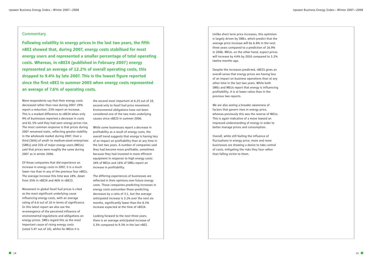# **Commentary**

**Following volatility in energy prices in the last two years, the fifth nBEI showed that, during 2007, energy costs stabilised for most energy users and represented a smaller percentage of total operating costs. Whereas, in nBEI4 (published in February 2007) energy represented an average of 12.2% of overall operating costs, this dropped to 9.4% by late 2007. This is the lowest figure reported since the first nBEI in summer 2005 when energy costs represented an average of 7.6% of operating costs.**

**More respondents say that their energy costs decreased rather than rose during 2007: 29% report a reduction; 23% report an increase. This is a marked difference to nBEI4 when only 9% of businesses reported a decrease in costs and 61.5% said they had seen energy prices rise. The most common response is that prices during 2007 remained static, reflecting greater stability in the wholesale market during 2007. Over a third (36%) of small- to medium-sized enterprises (SMEs) and 31% of major energy users (MEUs) said that prices were roughly the same during 2007 as in winter 2006.**

**Of those companies that did experience an increase in energy costs in 2007, it is a much lower rise than in any of the previous four nBEIs. The average increase this time was 18%, down from 35% in nBEI4 and 46% in nBEI3.** 

**Movement in global fossil fuel prices is cited as the most significant underlying cause influencing energy costs, with an average rating of 6.6 out of 10 in terms of significance. In this latest report we also see the re-emergence of the perceived influence of environmental regulations and obligations on energy prices. SMEs regard this as the most important cause of rising energy costs (rated 5.97 out of 10), whilst for MEUs it is** 

**the second most important at 6.25 out of 10, second only to fossil fuel price movement. Environmental obligations have not been considered one of the two main underlying causes since nBEI3 in summer 2006.**

**While some businesses report a decrease in profitability as a result of energy costs, the overall trend suggests that energy is having less of an impact on profitability than at any time in the last two years. A number of companies said they had become more profitable, sometimes because they had invested in more efficient equipment in response to high energy costs: 14% of MEUs and 16% of SMEs report an increase in profitability.**

**The differing experiences of businesses are reflected in their opinions over future energy costs. Those companies predicting increases in energy costs outnumber those predicting decreases by a ratio of 3:1, but the average anticipated increase is 3.1% over the next six months, significantly lower than the 8.5% increase expected at the time of nBEI4.**

**Looking forward to the next three years, there is an average anticipated increase of 5.3% compared to 9.3% in the last nBEI.** 

**Unlike short term price increases, this optimism is largely driven by SMEs, which predict that the average price increase will be 6.8% in the next three years compared to a prediction of 16.9% in 2006. MEUs, on the other hand, expect prices will increase by 4.4% by 2010 compared to 3.2% twelve months ago.**

**Despite the increases predicted, nBEI5 gives an overall sense that energy prices are having less of an impact on business operations than at any other time in the last two years. While both SMEs and MEUs report that energy is influencing profitability, it is at lower ratios than in the previous two reports.**

**We are also seeing a broader awareness of factors that govern rises in energy price, whereas previously this was the reserve of MEUs. This is again indicative of a move toward an improved understanding of energy in order to better manage prices and consumption.**

**Overall, while still feeling the influence of fluctuations in energy price, more and more businesses are showing a desire to take control of costs, mitigating the risks they face rather than falling victim to them.**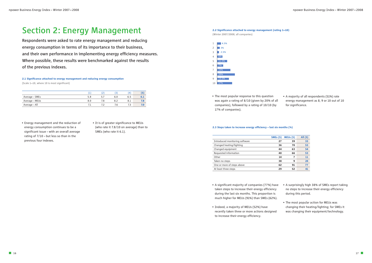

**(Winter 2007/2008; all companies)**

**• The most popular response to this question was again a rating of 8/10 (given by 20% of all companies), followed by a rating of 10/10 (by 17% of companies).**

**• A majority of all respondents (51%) rate energy management as 8, 9 or 10 out of 10 for significance.**

# **Section 2: Energy Management**

**Respondents were asked to rate energy management and reducing energy consumption in terms of its importance to their business, and their own performance in implementing energy efficiency measures. Where possible, these results were benchmarked against the results of the previous indexes.**

- **Energy management and the reduction of energy consumption continues to be a significant issue – with an overall average rating of 7/10 – but less so than in the previous four indexes.**
- **It is of greater significance to MEUs (who rate it 7.8/10 on average) than to SMEs (who rate it 6.1).**

#### **2.3 Steps taken to increase energy efficiency – last six months (%)**

|                                | <b>SMEs</b> (5) | MEUs(5) | All (5) |
|--------------------------------|-----------------|---------|---------|
| Introduced monitoring software | 27              | 39      | 33      |
| Changed heating/lighting       | 36              | 70      | 53      |
| Changed equipment              | 44              | 63      | 54      |
| Requested information          | 40              | 66      | 53      |
| Other                          | 14              | 7       | 11      |
| Taken no steps                 | 38              | 9       | 24      |
| One or more of steps above     | 62              | 91      | 77      |
| At least three steps           | 29              | 52      | 41      |

- **A significant majority of companies (77%) have taken steps to increase their energy efficiency during the last six months. This proportion is much higher for MEUs (91%) than SMEs (62%).**
- **• Indeed, a majority of MEUs (52%) have recently taken three or more actions designed to increase their energy efficiency.**
- **A surprisingly high 38% of SMEs report taking no steps to increase their energy efficiency during this period.**
- **The most popular action for MEUs was changing their heating/lighting; for SMEs it was changing their equipment/technology.**

# **2.1 Significance attached to energy management and reducing energy consumption**

**(Scale 1—10, where 10 is most significant)**

|                |     |     |            |     | e   |
|----------------|-----|-----|------------|-----|-----|
| Average – SMEs | 5.8 | 5.1 | 6.0        | 6.5 | 0.1 |
| Average – MEUs | 8.0 |     |            |     |     |
| Average - All  |     |     | $\sqrt{6}$ |     |     |

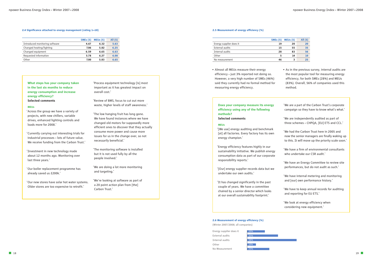**What steps has your company taken in the last six months to reduce energy consumption and increase energy efficiency? Selected comments**

#### **MEUs**

**'Across the group we have a variety of projects, with new chillers, variable drives, enhanced lighting controls and loads more for 2008.'**

**'Currently carrying out interesting trials for industrial processes – lots of future value. We receive funding from the Carbon Trust.'**

**'Investment in new technology made about 12 months ago. Monitoring over last three years.'**

**'Our boiler replacement programme has already saved us £200k.'**

**'Our new stores have solar hot water systems. Older stores are too expensive to retrofit.'**

**'Process equipment technology [is] most important as it has greatest impact on overall cost.'**

**'Review of BMS, focus to cut out more waste, higher levels of staff awareness.'**

**'The low hanging fruit has long gone. We have found instances where we have changed old motors for supposedly more efficient ones to discover that they actually consume more power and cause more issues for us in the change over, so not necessarily beneficial.'**

**'The monitoring software is installed but it is not used fully by all the people involved.'**

**'We are doing a lot more monitoring and targeting.'**

**'We're looking at software as part of a 20 point action plan from [the] Carbon Trust.'**

**• Almost all MEUs measure their energy efficiency – just 3% reported not doing so. However, a very high number of SMEs (46%) said they currently had no formal method for measuring energy efficiency.**

## **Does your company measure its energy efficiency using any of the following methods? Selected comments**

#### **MEUs**

**'[We use] energy auditing and benchmark [at] all factories. Every factory has its own energy champion.'**

**'Energy efficiency features highly in our sustainability initiative. We publish energy consumption data as part of our corporate responsibility reports.'**

**'[Our] energy supplier records data but we undertake our own audits.'**

**'It has changed significantly in the past couple of years. We have a committee chaired by a senior director which looks at our overall sustainability footprint.'**

- **As in the previous survey, internal audits are the most popular tool for measuring energy efficiency, for both SMEs (28%) and MEUs (83%). Overall, 56% of companies used this method.**
- **'We are a part of the Carbon Trust's corporate campaign so they have to know what's what.'**
- **'We are independently audited as part of three schemes – CHPQA, [EU] ETS and CCL.'**
- **'We had the Carbon Trust here in 2005 and now the senior managers are finally waking up to this. It will move up the priority scale soon.'**
- **'We have a firm of environmental consultants who undertake our CSR audit.'**
- **'We have an Energy Committee to review site performances, but do not audit as such.'**
- **'We have internal metering and monitoring and [our] own performance history.'**
- **'We have to keep annual records for auditing and reporting for EU ETS.'**
- **'We look at energy efficiency when considering new equipment.'**

#### **2.6 Measurement of energy efficiency (%)**

**(Winter 2007/2008; all companies)**

#### **2.4 Significance attached to energy management (rating 1—10)**

|                                | SMEs(5) | MEUs(5) | All (5) |
|--------------------------------|---------|---------|---------|
| Introduced monitoring software | 4.67    | 6.32    | 5.63    |
| Changed heating/lighting       | 7.06    | 5.82    | 6.25    |
| Changed equipment              | 6.59    | 6.65    | 6.63    |
| Requested information          | 5.78    | 6.27    | 6.08    |
| Other                          | 7.00    | 5.83    | 6.65    |
|                                |         |         |         |

#### **2.5 Measurement of energy efficiency (%)**

|                         | <b>SMEs</b> (5) | MEUs (5) | All (5) |
|-------------------------|-----------------|----------|---------|
| Energy supplier does it | 19              | 20       | 20      |
| External audits         | 15              | 55       | 35      |
| Internal audits         | 28              | 83       | 56      |
| Other                   | 5               | 14       | 10      |
| No measurement          | 46              | 3        | 25      |

| Energy supplier does it | 20% |
|-------------------------|-----|
| External audits         | 35% |
| Internal audits         | 56% |
| Other                   | 10% |
| No Measurement          | 25% |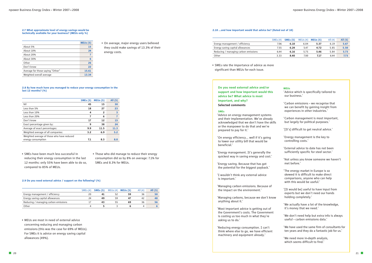**• On average, major energy users believed they could make savings of 13.3% of their energy costs.**

- **SMEs have been much less successful in reducing their energy consumption in the last 12 months: only 55% have been able to do so, compared to 85% of MEUs.**
- **Those who did manage to reduce their energy consumption did so by 8% on average: 7.1% for SMEs and 8.3% for MEUs.**

**• MEUs are most in need of external advice concerning reducing and managing carbon emissions (this was the case for 69% of MEUs). For SMEs it is advice on energy saving capital allowances (49%).**

**• SMEs rate the importance of advice as more significant than MEUs for each issue.**

**Do you need external advice and/or support and how important would this advice be? What advice is most important, and why? Selected comments**

#### **SMEs**

**'Advice on energy management systems and their implementation. We've already acknowledged that we don't have the skills or the manpower to do that and we're prepared to pay for it.'**

**'On energy efficiency… well if it's going to lower our utility bill that would be beneficial.'**

**'Energy management. It's generally the quickest way in saving energy and cost.'**

**'Energy saving. Because that has got the potential for the biggest payback.'**

**'I wouldn't think any external advice is important.'**

**'Managing carbon emissions. Because of the impact on the environment.'**

**'Managing carbons, because we don't know anything about it.'**

**'Most important advice is getting out of the Government's costs. The Government is costing us too much in what they're asking us to do.'**

**'Reducing energy consumption. I can't think where else to go, we have efficient machinery and equipment already.'**

| <b>MEUs</b><br>'Advice which is specifically tailored to<br>our business.'                                                                     |
|------------------------------------------------------------------------------------------------------------------------------------------------|
| 'Carbon emissions - we recognise that<br>we can benefit by gaining insight from<br>experiences in other industries.'                           |
| 'Carbon management is most important,<br>but largely for political purposes.'                                                                  |
| '[It's] difficult to get neutral advice.'                                                                                                      |
| 'Energy management is the key to<br>controlling costs.'                                                                                        |
| 'External advice to date has not been<br>sufficiently specific for steel sector.'                                                              |
| 'Not unless you know someone we haven't<br>met before.'                                                                                        |
| 'The energy market in Europe is so<br>skewed it is difficult to make direct<br>comparisons, anyone who can help<br>with this would be useful.' |
| '[It would be] useful to have input from<br>experts but we don't need our hands<br>holding completely.'                                        |
| 'We actually have a lot of the knowledge,<br>it's money that we need.'                                                                         |
| 'We don't need help but extra info is always<br>useful - carbon emissions data.'                                                               |
| 'We have used the same firm of consultants for<br>ten years and they do a fantastic job for us.'                                               |
| 'We need more in-depth analysis,<br>which seems difficult to find.'                                                                            |

#### **2.7 What approximate level of energy savings would be technically available for your business? (MEUs only %)**

|                                  | <b>MEUs (5)</b> |
|----------------------------------|-----------------|
| About 5%                         | 15              |
| About 10%                        | 24              |
| About 20%                        | 7               |
| About 30%                        | 6               |
| Other                            | 26              |
| Don't know                       | 22              |
| Average for those saying "Other" | 15.61           |
| Weighted overall average         | 13.34           |

#### **2.8 By how much have you managed to reduce your energy consumption in the last 12 months? (%)**

|                                            | SMEs(5) | MEUs(5) | All (5) |
|--------------------------------------------|---------|---------|---------|
| Nil                                        | 45      | 15      | 30      |
| Less than 5%                               | 18      | 27      | 23      |
| Less than 10%                              | 4       | 2       | 3       |
| Less than 20%                              | 7       | 6       |         |
| Don't know                                 | 17      | 12      | 15      |
| Exact percentage given by:                 | 9       | 38      | 24      |
| Average of exact percentages:              | 9.9     | 11.5    | 11.3    |
| Weighted average of all companies:         | 3.2     | 6.9     | 5.2     |
| Weighted average of those who have reduced |         |         |         |
| energy consumption                         | 7.1     | 8.3     | 8.0     |

#### **2.9 Do you need external advice / support on the following? (%)**

|                                      | SMEs(4) | <b>SMEs</b> (5) |    | MEUs $(4)$ MEUs $(5)$ | All $(4)$ | All (5) |
|--------------------------------------|---------|-----------------|----|-----------------------|-----------|---------|
| Energy management / efficiency       |         |                 |    | 59                    | 36        |         |
| Energy saving capital allowances     | 24      | 49              | 59 | 47                    | 42        | 48      |
| Reducing / managing carbon emissions |         | 43              | 55 | 69                    | 36        |         |
| Other                                |         |                 |    |                       |           |         |

### **2.10 …and how important would that advice be? (Rated out of 10)**

|                                      | SMEs(4) | <b>SMEs</b> (5) | MEUs(4) | MEUs(5) | All $(4)$ | All (5) |
|--------------------------------------|---------|-----------------|---------|---------|-----------|---------|
| Energy management / efficiency       | 7.06    | 6.10            | 6.04    | 5.37    | 6.19      | 5.67    |
| Energy saving capital allowances     | 7.55    | 6.24            | 5.47    | 4.72    | 5.85      | 5.50    |
| Reducing / managing carbon emissions | 6.44    | 6.16            | 5.75    | 5.46    | 5.84      | 5.73    |
| Other                                | 3.33    | 8.40            | 7.00    | 7.17    | 6.44      | 7.73    |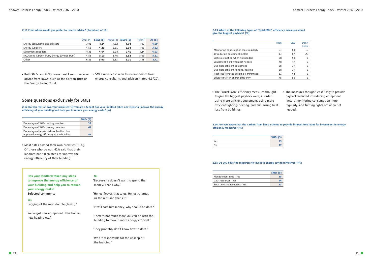**• Most SMEs owned their own premises (61%). Of those who do not, 41% said that their landlord had taken steps to improve the energy efficiency of their building.**

# **Some questions exclusively for SMEs**

**2.12 Do you rent or own your premises? If you are a tenant has your landlord taken any steps to improve the energy efficiency of your building and help you to reduce your energy costs? (%)**

**• Both SMEs and MEUs were most keen to receive advice from NGOs, such as the Carbon Trust or the Energy Saving Trust.**

**• SMEs were least keen to receive advice from energy consultants and advisors (rated 4.1/10).**

**Has your landlord taken any steps to improve the energy efficiency of your building and help you to reduce your energy costs? Selected comments**

#### **Yes**

**'Lagging of the roof, double glazing.'**

**'We've got new equipment. New boilers, new heating etc.'**

#### **No**

**'Because he doesn't want to spend the money. That's why.'**

**'He just leaves that to us. He just charges us the rent and that's it.'**

**'It will cost him money, why should he do it?'**

**'There is not much more you can do with the building to make it more energy efficient.'**

**'They probably don't know how to do it.'**

**'We are responsible for the upkeep of the building.'**

#### **2.15 Do you have the resources to invest in energy saving initiatives? (%)**

**• The "Quick-Win" efficiency measures thought to give the biggest payback were, in order: using more efficient equipment, using more efficient lighting/heating, and minimising heat loss from buildings.**

**• The measures thought least likely to provide payback included introducing equipment meters, monitoring consumption more regularly, and turning lights off when not needed.**



#### **2.14 Are you aware that the Carbon Trust has a scheme to provide interest free loans for investment in energy efficiency measures? (%)**

#### **2.11 From where would you prefer to receive advice? (Rated out of 10)**

|                                                | SMEs(4) | SMEs(5) | MEUs(4) | MEUs(5) | All $(4)$ | All (5) |
|------------------------------------------------|---------|---------|---------|---------|-----------|---------|
| Energy consultants and advisors                | 3.91    | 4.14    | 4.12    | 4.04    | 4.02      | 4.09    |
| Energy suppliers                               | 4.53    | 4.29    | 3.61    | 2.94    | 4.06      | 3.62    |
| Equipment suppliers                            | 4.31    | 4.64    | 3.98    | 3.41    | 4.14      | 4.03    |
| NGOs (e.g. Carbon Trust, Energy Savings Trust) | 4.58    | 5.10    | 5.46    | 5.52    | 5.03      | 5.31    |
| Other                                          | 6.81    | 5.00    | 2.83    | 6.31    | 3.38      | 5.71    |
|                                                |         |         |         |         |           |         |

|                                                                                        | <b>SMEs</b> (5) |
|----------------------------------------------------------------------------------------|-----------------|
| Percentage of SMEs renting premises                                                    | 39              |
| Percentage of SMEs owning premises                                                     | 61              |
| Percentage of tenants whose landlord has<br>improved energy efficiency of the building | Д.              |

|     | <b>SMEs</b> (5) |
|-----|-----------------|
| Yes |                 |
| No  |                 |

|                               | SMEs(5) |
|-------------------------------|---------|
| Management time - Yes         | 35      |
| Cash resources - Yes          | 44      |
| Both time and resources - Yes |         |

#### **2.13 Which of the following types of "Quick-Win" efficiency measures would give the biggest payback? (%)**

|                                          | High | Low | Don't<br>know |
|------------------------------------------|------|-----|---------------|
| Monitoring consumption more regularly    | 21   | 60  | 19            |
| Introducing equipment meters             | 13   | 67  | 20            |
| Lights are not on when not needed        | 38   | 59  | 3             |
| Equipment is off when not needed         | 48   | 47  | 5             |
| Use more efficient equipment             | 58   | 37  | 5             |
| Use more efficient lighting/heating      | 58   | 37  | 5             |
| Heat loss from the building is minimised | 51   | 44  | 5             |
| Educate staff in energy efficiency       | 45   | 50  | 5             |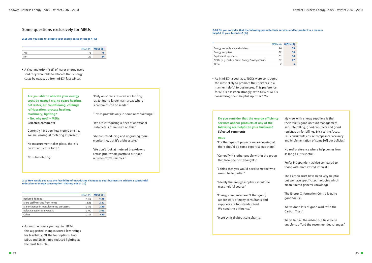**• A clear majority (76%) of major energy users said they were able to allocate their energy costs by usage, up from nBEI4 last winter.**

# **Some questions exclusively for MEUs**

**• As was the case a year ago in nBEI4, the suggested changes scored low ratings for feasibility. Of the four options, both MEUs and SMEs rated reduced lighting as the most feasible.**

**2.17 How would you rate the feasibility of introducing changes to your business to achieve a substantial reduction in energy consumption? (Rating out of 10)**

**Are you able to allocate your energy costs by usage? e.g. to space heating, hot water, air conditioning, chilling/ refrigeration, process heating, machinery, lighting? – No, why not? – MEUs Selected comments**

**'Currently have very few meters on site. We are looking at metering at present.'**

**'No measurement takes place, there is no infrastructure for it.'**

**'No sub-metering.'**

**'Only on some sites – we are looking at zoning to larger main areas where economies can be made.'**

**'This is possible only in some new buildings.'**

**'We are introducing a fleet of additional sub-meters to improve on this.'**

**'We are introducing and upgrading more monitoring, but it's a big estate.'**

**'We don't look at metered breakdowns across [the] whole portfolio but take representative samples.'**

## **Do you consider that the energy efficiency services and/or products of any of the following are helpful to your business? Selected comments**

#### **MEUs**

**'For the types of projects we are looking at there should be some expertise out there.'**

**'Generally it's other people within the group that have the best thoughts.'**

**'I think that you would need someone who would be impartial.'**

**'Ideally the energy suppliers should be most helpful source.'**

**'Energy companies aren't that good, we are wary of many consultants and suppliers are too standardised. We need the difference.'**

**'More cynical about consultants.'**

- **'My view with energy suppliers is that their role is good account management, accurate billing, good contracts and good registration for billing. Stick to the focus. Our consultants ensure compliance, accuracy and implementation of some [of] our policies.'**
- **'No real preference where help comes from as long as it is useful.'**
- **'Prefer independent advice compared to those with more vested interest.'**
- **'The Carbon Trust have been very helpful but we have specific technologies which mean limited general knowledge.'**
- **'The Energy Information Centre is quite good for us.'**
- **'We've done lots of good work with the Carbon Trust.'**
- **'We've had all the advice but have been unable to afford the recommended changes.'**

**• As in nBEI4 a year ago, NGOs were considered the most likely to promote their services in a manner helpful to businesses. This preference for NGOs has risen strongly, with 87% of MEUs considering them helpful, up from 67%.**

#### **2.18 Do you consider that the following promote their services and/or product in a manner helpful to your business? (%)**

#### **2.16 Are you able to allocate your energy costs by usage? (%)**

|     |    | MEUs (4) <b>MEUs (5)</b> |
|-----|----|--------------------------|
| Yes |    |                          |
| No  | 29 | 24                       |

|                                         | MEUs(4) | MEUs(5) |
|-----------------------------------------|---------|---------|
| Reduced lighting                        | 4.55    | 4.48    |
| More staff working from home            | 2.41    | 2.37    |
| Major change in manufacturing processes | 3.56    | 3.49    |
| Relocate activities overseas            | 3.00    | 2.05    |
| Other                                   | 2.82    | 7.40    |

|                                                | MEUs(4) | MEUs(5) |
|------------------------------------------------|---------|---------|
| Energy consultants and advisors                | 46      | 59      |
| Energy suppliers                               | 32      | 38      |
| Equipment suppliers                            | 51      | 54      |
| NGOs (e.g. Carbon Trust, Energy Savings Trust) | 67      | 87      |
| Other                                          |         |         |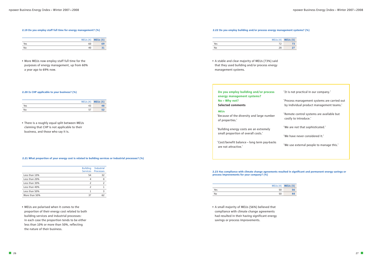**• MEUs are polarised when it comes to the proportion of their energy cost related to both building services and industrial processes: in each case the proportion tends to be either less than 10% or more than 50%, reflecting the nature of their business.**

#### **2.21 What proportion of your energy cost is related to building services or industrial processes? (%)**

**• A stable and clear majority of MEUs (73%) said that they used building and/or process energy management systems.**

#### **2.22 Do you employ building and/or process energy management systems? (%)**

# **Do you employ building and/or process energy management systems? No – Why not? Selected comments**

#### **MEUs**

**'Because of the diversity and large number of properties.'**

**'Building energy costs are an extremely small proportion of overall costs.'**

**'Cost/benefit balance – long term pay-backs are not attractive.'**

- **'It is not practical in our company.'**
- **'Process management systems are carried out by individual product management teams.'**
- **'Remote control systems are available but costly to introduce.'**
- **'We are not that sophisticated.'**
- **'We have never considered it.'**
- **'We use external people to manage this.'**

**• A small majority of MEUs (56%) believed that compliance with climate change agreements had resulted in their having significant energy savings or process improvements.**

**2.23 Has compliance with climate change agreements resulted in significant and permanent energy savings or**

# **process improvements for your company? (%)**

**• There is a roughly equal split between MEUs claiming that CHP is not applicable to their business, and those who say it is.**

**• More MEUs now employ staff full time for the purposes of energy management, up from 60% a year ago to 69% now.**

#### **2.19 Do you employ staff full time for energy management? (%)**

|     |    | MEUs (4) <b>MEUs (5)</b> |
|-----|----|--------------------------|
| Yes | 60 | 69                       |
| No  | 40 |                          |

#### **2.20 Is CHP applicable to your business? (%)**

|     | $MEUs(4)$ <b>MEUs(5)</b> |
|-----|--------------------------|
| Yes | 48                       |
| No  | 52                       |

|               | <b>Building</b> | <b>Industrial</b>  |
|---------------|-----------------|--------------------|
|               |                 | Services Processes |
| Less than 10% | 54              | 32                 |
| Less than 20% | 4               |                    |
| Less than 30% | 2               | $\mathcal{P}$      |
| Less than 40% |                 |                    |
| Less than 50% |                 |                    |
| More than 50% | 37              |                    |

|     |    | MEUs (4) <b>MEUs (5)</b> |
|-----|----|--------------------------|
| Yes |    |                          |
| Nο  | 28 |                          |

|     |    | MEUs (4) <b>MEUs (5)</b> |
|-----|----|--------------------------|
| Yes | 50 | m                        |
| No  | 50 |                          |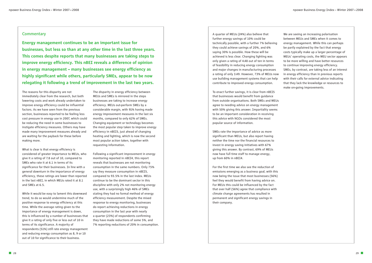# **Commentary**

**Energy management continues to be an important issue for businesses, but less so than at any other time in the last three years. This comes despite reports that many businesses are taking steps to improve energy efficiency. This nBEI reveals a difference of opinion in energy management – many businesses see energy efficiency as highly significant while others, particularly SMEs, appear to be now relegating it following a trend of improvement in the last two years.**

**The reasons for this disparity are not immediately clear from the research, but both lowering costs and work already undertaken to improve energy efficiency could be influential factors. As we have seen from the previous section, businesses reported to be feeling less cost pressure in energy use in 2007, which could be reducing the need in some businesses to instigate efficiency measures. Others may have made many improvement measures already and are waiting for the payback for these before making more.**

**What is clear is that energy efficiency is considered of greater importance to MEUs, who give it a rating of 7.8 out of 10, compared to SMEs who rate it at 6.1 in terms of its significance for their businesses. In line with a general downturn in the importance of energy efficiency, these ratings are lower than reported in the last nBEI, in which MEUs rated it at 8.1 and SMEs at 6.5.**

**While it would be easy to lament this downward trend, to do so would undermine much of the positive response to energy efficiency at this time. While the average rating given to the importance of energy management is down, this is influenced by a number of businesses that give it a rating of only five or less out of 10 in terms of its significance. A majority of respondents (51%) still rate energy management and reducing energy consumption as 8, 9 or 10 out of 10 for significance to their business.**

**The disparity in energy efficiency between MEUs and SMEs is mirrored in the steps businesses are taking to increase energy efficiency. MEUs out-perform SMEs by a considerable margin, with 91% having made energy improvement measures in the last six months, compared to only 62% of SMEs. Changing equipment or technology becomes the most popular step taken to improve energy efficiency in nBEI5, just ahead of changing heating and lighting, which is now the second most popular action taken, together with requesting information.**

**Following a significant improvement in energy monitoring reported in nBEI4, this report reveals that businesses are not monitoring consumption in the same numbers. Only 75% say they measure consumption in nBEI5, compared to 93.5% in the last index. MEUs continue to be the dominant sector in this discipline with only 2% not monitoring energy use, with a surprisingly high 46% of SMEs stating they had no formal method of energy efficiency measurement. Despite the mixed response to energy monitoring, businesses do report achieving reductions in energy consumption in the last year with nearly a quarter (23%) of respondents confirming they have made reductions of some 5%, and 7% reporting reductions of 20% in consumption.**  **A quarter of MEUs (24%) also believe that further energy savings of 10% could be technically possible, with a further 7% believing they could achieve savings of 20%, and 6% saying 30% is possible. How these will be achieved is less clear. Changing lighting was only given a rating of 4.48 out of ten in terms of feasibility in reducing energy consumption and major changes in manufacturing processes a rating of only 3.49. However, 73% of MEUs now use building management systems that can help contribute to improved energy consumption.**

**To enact further savings, it is clear from nBEI5 that businesses would benefit from guidance from outside organisations. Both SMEs and MEUs agree to needing advice on energy management with 50% giving this answer. Impartiality seems to be an important consideration in receiving this advice with NGOs considered the most popular source of information.**

**SMEs rate the importance of advice as more significant than MEUs, but also report having neither the time nor the financial resources to invest in energy saving initiatives with 67% giving this answer. By contrast, 69% of MEUs now have full time staff to manage energy, up from 60% in nBEI4.**

**For the first time we also see the reduction of emissions emerging as a business goal, with this now being the issue that most businesses (56%) feel they would benefit from having advice on. For MEUs this could be influenced by the fact that over half (56%) agree that compliance with climate change agreements has resulted in permanent and significant energy savings in their company.**

**We are seeing an increasing polarisation between MEUs and SMEs when it comes to energy management. While this can perhaps be partly explained by the fact that energy costs typically make up a larger percentage of MEUs' operating costs, the MEU sector appears to be more willing and have better resources to continue improving energy efficiency. SMEs, by contrast, are taking less of an interest in energy efficiency than in previous reports with their calls for external advice indicating that they lack the knowledge or resources to make on-going improvements.**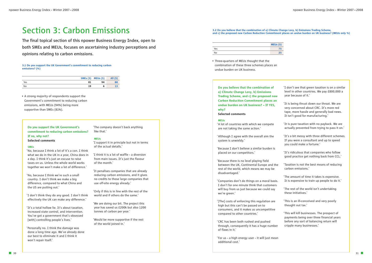**Do you believe that the combination of a) Climate Change Levy, b) Emissions Trading Scheme, and c) the proposed new Carbon Reduction Commitment places an undue burden on UK business? – If YES, why?**

#### **Selected comments**

#### **MEUs**

**'A lot of countries with which we compete are not taking the same action.'**

**'Although I agree with the overall aim the system is unwieldy.'**

**'Because I don't believe a similar burden is placed on our competitors.'**

**'Because there is no level playing field between the UK, Continental Europe and the rest of the world, which means we may be disadvantaged.'**

**'Companies don't do things on a moral basis. I don't for one minute think that customers will buy from us just because we could say we're green.'**

**'[The] costs of enforcing this regulation are high but this can't be passed on to consumers, and it makes us uncompetitive compared to other countries.'**

**'CRC has been both rushed and pushed through, consequently it has a huge number of flaws in it.'**

**'For us – a high energy user – it will just mean additional cost.'**

- **'I don't see that green taxation is on a similar level in other countries. We pay £800,000 a year because of it.'**
- **'It is being thrust down our throat. We are very concerned about CRC. It's more red tape, more hassle and generally bad news. It isn't good for manufacturing.'**
- **'It is pure taxation with no payback. We are actually prevented from trying to pass it on.'**
- **'It's a bit messy with three different schemes. If you were a consultant and up to speed you could make a fortune.'**
- **'It's ridiculous that companies who follow good practice get nothing back from CCL.'**
- **'Taxation is not the best means of reducing carbon emissions.'**
- **'The amount of time it takes is expensive. It is expensive to train up people to do it.'**
- **'The rest of the world isn't undertaking these initiatives.'**
- **'This is an ill-conceived and very poorly thought out tax.'**
- **'This will kill businesses. The prospect of payments being over three financial years before any sort of balancing return will cripple many businesses.'**

# **3.2 Do you believe that the combination of a) Climate Change Levy, b) Emissions Trading Scheme,**

**and c) the proposed new Carbon Reduction Commitment places an undue burden on UK business? (MEUs only %)**



**• Three-quarters of MEUs thought that the combination of these three schemes places an undue burden on UK business.**

|     | MEUs(5) |
|-----|---------|
| Yes |         |
| No  | 25      |

# **Section 3: Carbon Emissions**

**The final topical section of this npower Business Energy Index, open to both SMEs and MEUs, focuses on ascertaining industry perceptions and opinions relating to carbon emissions.**

# **Do you support the UK Government's commitment to reducing carbon emissions? If no, why not?**

**Selected comments**

#### **SMEs**

**'No, because I think a lot of it's a con. I think what we do in the UK in a year, China does in a day. I think it's just an excuse to raise taxes on us. Unless the whole world works together we won't make a lot of difference.'**

**'No, because I think we're such a small country. I don't think we make a big difference, compared to what China and the US are putting out.'**

**'I don't think they do any good. I don't think effectively the UK can make any difference.'**

**'It's a total hollow lie. It's about taxation, increased state control, and intervention. You've got a government that's obsessed [with] controlling people's lives.'**

**'Personally no. I think the damage was done a long time ago. We've already done our best to eliminate it and I think it won't repair itself.'**

**'The company doesn't back anything like that.'**

#### **MEUs**

**'I support it in principle but not in terms of the actual details.'**

**'I think it is a lot of waffle – a diversion from main issues. It's just the flavour of the month.'**

**'It penalises companies that are already reducing carbon emissions, and it gives no credits to those large companies that use off-site energy already.'**

**'Only if this is in line with the rest of the world and if others do the same.'**

**'We are doing our bit. The project this year has saved us £200k but also 1200 tonnes of carbon per year.'**

**'Would be more supportive if the rest of the world joined in.'**

**• A strong majority of respondents support the Government's commitment to reducing carbon emissions, with MEUs (94%) being more supportive than SMEs (81%).**

#### **3.1 Do you support the UK Government's commitment to reducing carbon emissions? (%)**

|     |    | <b>SMEs (5) MEUs (5)</b> | All $(5)$ |
|-----|----|--------------------------|-----------|
| Yes | 81 | 94                       | 88        |
| No  | 19 |                          |           |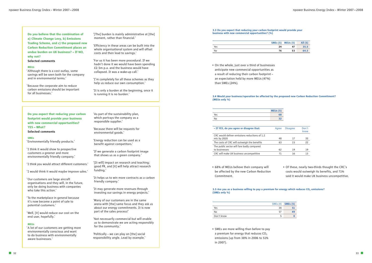

**• On the whole, just over a third of businesses anticipate new commercial opportunities as a result of reducing their carbon footprint – an expectation held by more MEUs (47%) than SMEs (24%).**

**• 68% of MEUs believe their company will be affected by the new Carbon Reduction Commitment.**

#### **3.5** Are you as a business willing to pay a premium for energy which reduces CO<sub>2</sub> emissions? **(SMEs only %)**

**• Of these, nearly two-thirds thought the CRC's costs would outweigh its benefits, and 71% said it would make UK business uncompetitive.**

#### **3.4 Would your business/operation be affected by the proposed new Carbon Reduction Commitment? (MEUs only %)**

**• SMEs are more willing than before to pay**  a premium for energy that reduces CO<sub>2</sub> **emissions (up from 38% in 2006 to 51% in 2007).**

#### **3.3 Do you expect that reducing your carbon footprint would provide your business with new commercial opportunities? (%)**

|     |    | SMEs (5) MEUs (5) | All (5) |
|-----|----|-------------------|---------|
| Yes | 24 | 47                | 35.5    |
| No  | 76 | 53                | 64.5    |

| - If YES, do you agree or disagree that:                     | Aaree | <b>Disagree</b> | Don't<br>know |
|--------------------------------------------------------------|-------|-----------------|---------------|
| CRC would deliver emissions reductions of 1.2<br>mtc by 2020 | 48    | 17              | 35            |
| The costs of CRC will outweigh the benefits                  | 63    | 15              | 22            |
| The public sector will fare badly compared<br>to businesses  | 62    | 19              | 19            |
| CRC will make UK business uncompetitive                      |       | 16              |               |

|     | MEUs (5) |
|-----|----------|
| Yes | 68       |
| No  | 32       |

|            |    | SME <sub>s</sub> (4) <b>SME<sub>s</sub> (5)</b> |
|------------|----|-------------------------------------------------|
| Yes        | 38 | 51                                              |
| No         | 57 | 49                                              |
| Don't know |    | o                                               |

**Do you believe that the combination of a) Climate Change Levy, b) Emissions Trading Scheme, and c) the proposed new Carbon Reduction Commitment places an undue burden on UK business? – If NO, why not?** 

#### **Selected comments**

#### **MEUs**

**'Although there is a cost outlay, some savings will be seen both for the company and in environmental terms.'**

**'Because the corporate aim to reduce carbon emissions should be important for all businesses.'**

**'[The] burden is mainly administrative at [the] moment, rather than financial.'**

**'Efficiency in these areas can be built into the whole organisational system and will offset costs and then lead to savings.'**

**'For us it has been more procedural. If we hadn't done it we would have been spending £2.5m p.a. and the business would have collapsed. It was a wake-up call.'**

**'I'm completely for all these schemes as they help us reduce our own consumption.'**

**'It is only a burden at the beginning, once it is running it is no burden.'**

**Do you expect that reducing your carbon footprint would provide your business with new commercial opportunities? YES – What? Selected comments**

#### **SMEs**

**'Environmentally friendly products.'**

**'I think it would show to prospective customers a greener and more environmentally friendly company.'**

**'I think you would attract different customers.'**

**'I would think it would maybe improve sales.'**

**'Our customers are large aircraft organisations and they will, in the future, only be doing business with companies who take this action.'**

**'To the marketplace in general because it's now become a point of sale to potential customers.'**

**'Well, [it] would reduce our cost on the end user, hopefully.'**

#### **MEUs**

**'A lot of our customers are getting more environmentally conscious and want to do business with environmentally aware businesses.'**

**'As part of the sustainability plan, which portrays the company as a responsible supplier.'**

**'Because there will be requests for environmental goods.'**

**'Energy reduction can be used as a benefit against competitors.'**

**'If we generate a carbon footprint image that shows us as a green company.'**

**'[It will] impact on research and teaching; good PR, and [it] will help attract research funding.'**

**'It helps us to win more contracts as a carbon friendly company.'**

**'It may generate more revenues through investing our savings in energy projects.'**

**'Many of our customers are in the same arena with [the] same focus and they ask us about our energy commitments. It is now part of the sales process!'**

**'Not necessarily commercial but will enable us to demonstrate we are acting responsibly for the community.'**

**'Politically – we can play on [the] social responsibility angle. Lead by example.'**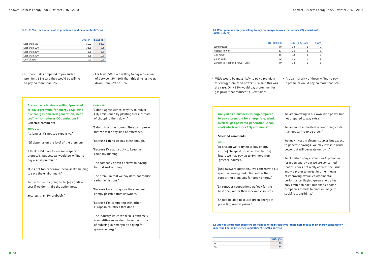**Are you as a business willing/prepared to pay a premium for energy (e.g. wind, nuclear, gas powered generation, clean coal) which reduces CO2 emissions?**

### **Selected comments**

#### **MEUs**

**'At present we're trying to buy energy at [the] cheapest possible rate. In [the] future we may pay up to 5% more from 'greener' sources.'**

**'[An] awkward question… we concentrate our spend on energy reduction rather than supporting premiums for green energy.'**

**'In contract negotiations we look for the best deal, rather than renewable sources.'**

**'Should be able to source green energy at prevailing market prices.'**

**• MEUs would be most likely to pay a premium for energy from wind power: 30% said this was the case. Only 15% would pay a premium for** gas power that reduced CO<sub>2</sub> emissions.

- **'We are investing in our own wind power but not prepared to pay extra.'**
- **'We are more interested in controlling costs than appearing to be green.'**
- **'We may invest in cleaner sources but expect to generate savings. We may invest in wind power but will generate our own.'**
- **'We'll perhaps pay a small 1—2% premium for green energy but we are concerned that this does not really address the issue and we prefer to invest in other means of improving overall environmental performance. Buying green energy has only limited impact, but enables some companies to hide behind an image of social responsibility.'**



#### **3.8 Are you aware that suppliers are obliged to help residential customers reduce their energy consumption under the Energy Efficiency Commitment? (SMEs only %)**

|     | <b>SMEs</b> (5) |
|-----|-----------------|
| Yes | 39              |
| No  | 61              |

**• A clear majority of those willing to pay a premium would pay no more than 5%.**

#### **3.7 What premium are you willing to pay for energy sources that reduce CO2 emissions? (MEUs only %)**

|                               | No Premium | $<5\%$ | $5\% - 10\%$ | $>10\%$ |
|-------------------------------|------------|--------|--------------|---------|
| Wind Power                    | 70         | 23     | h            |         |
| Nuclear Power                 | 83         | 16     |              |         |
| Gas Power                     | 85         | 14     |              |         |
| Clean Coal                    | 82         | 16     |              |         |
| Combined Heat and Power (CHP) | 70         | 18     |              |         |

- **Of those SMEs prepared to pay such a premium, 88% said they would be willing to pay no more than 5%.**
- **Far fewer SMEs are willing to pay a premium of between 5%—10% than this time last year: down from 32% to 10%.**

**Are you as a business willing/prepared to pay a premium for energy (e.g. wind, nuclear, gas powered generation, clean coal)** which **reduces** CO<sub>2</sub> **emissions? Selected comments**

#### **SMEs – Yes**

**'As long as it's not too expensive.'**

**'[It] depends on the level of the premium.'**

**'I think we'd have to see some specific proposals. But yes, we would be willing to pay a small premium.'**

**'If it's not too expensive, because it's helping to save the environment.'**

**'In the future it's going to be [a] significant cost if we don't take the action now.'**

**'Yes, less than 5% probably.'**

## **SMEs – No**

**'I don't agree with it. Why try to reduce CO2 emissions? Try planting trees instead of chopping them down.'**

**'I don't trust the figures. They can't prove that we make any kind of difference.'**

**'Because I think we pay quite enough.'**

**'Because I've got a duty to keep my company running.'**

**'The company doesn't believe in paying for that sort of thing.'**

**'The premium that we pay does not reduce carbon emissions.'**

**'Because I want to go for the cheapest energy possible from anywhere.'**

**'Because I'm competing with other European countries that don't.'**

**'The industry which we're in is extremely competitive so we don't have the luxury of reducing our margin by paying for greener energy.'**

#### **3.6 …If Yes, then what level of premium would be acceptable? (%)**

|               | SMEs(4) | <b>SMEs</b> (5) |
|---------------|---------|-----------------|
| Less than 5%  | 50.0    | 88.2            |
| Less than 10% | 31.6    | 9.8             |
| Less than 20% | 5.3     | 2.0             |
| Less than 30% | 5.3     | 0.0             |
| Don't know    | 7.9     | 0.0             |
|               |         |                 |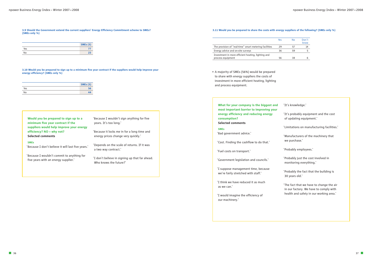|  | gy suppliers of the following? (SMEs only %) |  |
|--|----------------------------------------------|--|

**What for your company is the biggest and most important barrier to improving your energy efficiency and reducing energy consumption? Selected comments**

#### **SMEs**

**'Bad government advice.'**

**'Cost. Finding the cashflow to do that.'**

**'Fuel costs on transport.'**

**'Government legislation and councils.'**

**'I suppose management time, because we're fairly stretched with staff.'**

**'I think we have reduced it as much as we can.'**

**'I would imagine the efficiency of our machinery.'**

| 'It's knowledge.' |  |
|-------------------|--|
|                   |  |

- **'It's probably equipment and the cost of updating equipment.'**
- **'Limitations on manufacturing facilities.'**
- **'Manufacturers of the machinery that we purchase.'**
- **'Probably employees.'**
- **'Probably just the cost involved in monitoring everything.'**
- **'Probably the fact that the building is 30 years old.'**
- **'The fact that we have to change the air in our factory. We have to comply with health and safety in our working area.'**

**• A majority of SMEs (56%) would be prepared to share with energy suppliers the costs of investment in more efficient heating, lighting and process equipment.**

|                                                        | Yes | Nο | Don't<br>know |
|--------------------------------------------------------|-----|----|---------------|
| The provision of "real-time" smart metering facilities | 29  | 57 | 14            |
| Energy advice and on-site surveys                      | 36  | 59 |               |
| Investment in more efficient heating, lighting and     |     |    |               |
| process equipment                                      | 56  | 38 |               |

**3.9 Should the Government extend the current suppliers' Energy Efficiency Commitment scheme to SMEs? (SMEs only %)**

**3.10 Would you be prepared to sign up to a minimum five year contract if the suppliers would help improve your energy efficiency? (SMEs only %)**

| Would you be prepared to sign up to a    |
|------------------------------------------|
| minimum five year contract if the        |
| suppliers would help improve your energy |
| efficiency? NO - why not?                |
| <b>Selected comments</b>                 |

### **SMEs**

**'Because I don't believe it will last five years.'**

**'Because I wouldn't commit to anything for five years with an energy supplier.'**

**'Because I wouldn't sign anything for five years. It's too long.'**

**'Because it locks me in for a long time and energy prices change very quickly.'**

**'Depends on the scale of returns. If it was a two way contract.'**

**'I don't believe in signing up that far ahead. Who knows the future?'**

#### **3.11 Would you be prepared to share the costs with energy**

|     | <b>SMEs</b> (5) |
|-----|-----------------|
| Yes |                 |
| No  |                 |

|     | <b>SMEs</b> (5) |
|-----|-----------------|
| Yes | 56              |
| No  | 44              |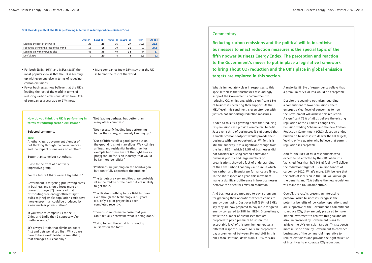**What is immediately clear in responses to this special topic is that businesses resoundingly support the Government's commitment to reducing CO2 emissions, with a significant 88% of businesses declaring their support. At the MEU level, this sentiment is even stronger with just 6% not supporting reduction measures.**

**Added to this, is a growing belief that reducing CO2 emissions will provide commercial benefit. Just over a third of businesses (36%) agreed that a smaller carbon footprint would provide their business with new opportunities. While this is still the minority, it is a significant change from the last nBEI in which 59.5% of businesses did not consider reducing carbon emissions a business priority and large numbers of organisations showed a lack of understanding of the Low Carbon Economy – a future in which low carbon and financial performance are linked. In the short space of a year, this movement marks a significant difference in how businesses perceive the need for emission reduction.**

**And businesses are prepared to pay a premium for greening their operations when it comes to energy purchasing. Just over half (51%) of SMEs say they are now prepared to pay more for green energy compared to 38% in nBEI4. Interestingly, while the number of businesses that are prepared to pay a premium has risen, the acceptable level of this premium generates a different response. Fewer SMEs are prepared to pay a premium of between 5% and 10% in this nBEI than last time, down from 31.6% to 9.8%.**

**A majority 88.2% of respondents believe that a premium of 5% or less would be acceptable.**

**Despite the seeming optimism regarding a commitment to lower emissions, there emerges a clear level of concern as to how the Government will achieve this reduction. A significant 75% of MEUs believe the existing regulation of the Climate Change Levy, Emission Trading Scheme and the new Carbon Reduction Commitment (CRC) places an undue burden on businesses to deliver the UK targets, leaving only a quarter who believe that current regulation is acceptable.**

**And for the 68% of MEU respondents who expect to be affected by the CRC when it is launched, less than half (48%) feel it will deliver the reduction target of 1.2 million tonnes of carbon by 2020. What's more, 63% believe that the costs of inclusion in the CRC will outweigh the benefits and 71% believe the new regulation will make the UK uncompetitive.**

**Overall, the results present an interesting paradox: while businesses recognise the potential benefits of low carbon operations and are supportive of the Government's commitment to reduce CO2, they are only prepared to make limited investment to achieve this goal and are also unconvinced by Government plans to achieve the UK's emission targets. This suggests more must be done by Government to convince businesses of the commercial imperative to reduce emissions and provide the right structure of incentives to encourage CO2 reduction.**

# **Commentary**

**Reducing carbon emissions and the political will to incentivise businesses to enact reduction measures is the special topic of the fifth npower Business Energy Index. The perception and reaction to the Government's moves to put in place a legislative framework**  to bring about CO<sub>2</sub> reduction and the UK's place in global emission **targets are explored in this section.** 

### **How do you think the UK is performing in terms of reducing carbon emissions?**

#### **Selected comments**

#### **MEUs**

**'Another classic government blunder of not thinking through the consequences and the impact of one area on another.'**

**'Better than some but not others.'**

**'Close to the front of a not very impressive group.'**

**'For the future I think we will lag behind.'**

**'Government is targeting [the] wrong areas in business and should focus more on domestic usage. [I] have read that distributing free energy efficient light bulbs to [the] whole population could save more energy than could be produced by a new nuclear power station.'**

**'If you were to compare us to the US, China and India then I suppose we're pretty average.'**

**'It's always Britain that climbs on board first and gets penalised first. Why do we have to be a world leader in something that damages our economy?'**

**'Not leading perhaps, but better than many other countries.'**

**'Not necessarily leading but performing better than many, not merely keeping up.'**

**'Our politicians talk a good game but on the ground it is not marvellous. We victimise airlines, and residential heating fuel for example but these are not the right areas – [they] should focus on industry, that would be far more beneficial.'**

**'Politicians are jumping on the bandwagon but don't fully appreciate the problem.'**

**'The targets are very ambitious. We probably sit in the middle of the pack but are unlikely to get there.'**

**'The UK does nothing to use tidal turbines even though the technology is 50 years old, only a pilot project has been completed recently.'**

**'There is so much media noise that you can't actually determine what is being done.'**

**'Trying to lead the world but shooting ourselves in the foot.'**

- **For both SMEs (36%) and MEUs (38%) the most popular view is that the UK is keeping up with everyone else in terms of reducing carbon emissions.**
- **Fewer businesses now believe that the UK is leading the rest of the world in terms of reducing carbon emissions: down from 31% of companies a year ago to 27% now.**

**• More companies (now 25%) say that the UK is behind the rest of the world.**

#### **3.12 How do you think the UK is performing in terms of reducing carbon emissions? (%)**

|                                        | SMEs(4) | <b>SMEs</b> (5) | MEUs(4) | MEUs(5) | All $(4)$ | All (5) |
|----------------------------------------|---------|-----------------|---------|---------|-----------|---------|
|                                        |         |                 |         |         |           |         |
| Leading the rest of the world          | 25      | 26              | 36      | 27      | 30.5      | 26.5    |
| Following behind the rest of the world | 18      | 18              | 20      | 31      | 19        | 24.5    |
| Keeping up with everyone else          | 48      | 36              | 40      | 38      | 44        |         |
| Don't know                             | a       | 20              | Δ       |         | 6.5       |         |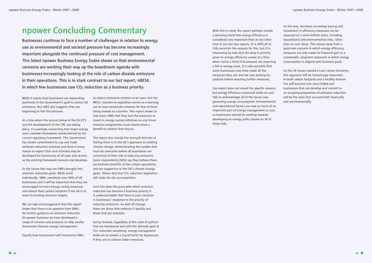**With this in mind, the report perhaps reveals a worrying trend that energy efficiency is considered less important than at any other time in our last two reports. It is difficult to fully ascertain the reasons for this, but it is interesting to note that the drop in priority given to energy efficiency comes at a time when nearly a third of businesses are reporting a fall in energy costs. It is also possible that some businesses may have made all the measures they can and are now waiting for payback before enacting further measures.**

**Our report does not reveal the specific reasons, but energy efficiency measured solely on cost fails to acknowledge all of the issues now governing energy consumption. Environmental and reputational factors are now as much of an important part of energy management as cost, so businesses should be working towards developing an energy policy based on all of these risks.** 

**In this way, decisions on energy buying and investment in efficiency measures can be assessed on a more holistic basis, including reputational and environmental risks, rather than on cost alone. This moves away from a quick win scenario in which energy efficiency measures are only made for financial gain to a sustainable, long-term approach in which energy consumption is aligned with business goals.** 

**As the UK moves toward a Low Carbon Economy, this approach will be increasingly important. A small carbon footprint and a healthy bottom line will become ever more linked and businesses that can develop and commit to an on-going programme of emission reduction will be the ones that succeed both financially and environmentally.**

**While it seems that businesses are responding positively to the Government's goal to reduce UK emissions, this nBEI also suggests they are beginning to feel the pressure.** 

**At a time when the second phase of the EU ETS and the development of the CRC are taking place, it is perhaps concerning that major energy users consider themselves overburdened by the current regulatory framework. This Government has shown commitment to cap and trade emission reduction schemes and there is every reason to expect that such schemes may be developed for businesses of all sizes and sectors as the existing framework matures and develops.**

**Businesses continue to face a number of challenges in relation to energy use as environmental and societal pressure has become increasingly important alongside the continued pressure of cost management. This latest npower Business Energy Index shows us that environmental concerns are working their way up the boardroom agenda with businesses increasingly looking at the role of carbon dioxide emissions in their operations. This is in stark contrast to our last report, nBEI4,**  in which few businesses saw CO<sub>2</sub> reduction as a business priority.

**In the future this may see SMEs brought into emission reduction goals. While small individually, SMEs constitute over 90% of UK businesses and it will be important that they are encouraged to enact energy saving measures and reduce their carbon footprint if the UK is to meet its binding emission targets.**

**We can take encouragement that this report shows that there is an appetite from SMEs for further guidance on emission reduction. At npower business we have developed a range of services and products to help smaller businesses improve energy management.**

**Exactly how Government will incentivise SMEs** 

**to reduce emissions remains to be seen, but the MEUs' reaction to regulation serves as a warning not to over-complicate schemes for fear of them being viewed as a burden. This report shows us that many SMEs feel they lack the resources to invest in energy saving initiatives so any future emission programmes must clearly show a benefit to achieve their buy-in.**

**The report also reveals the strength and mix of feeling there is to the UK's approach to tackling climate change, demonstrating the hurdles that must be overcome before all businesses are convinced of their role in reducing emissions. Some respondents (36%) say they believe there are business benefits of low carbon operations and are supportive of the UK's climate change goals. Others feel that CO2 reduction legislation will make the UK uncompetitive.**

**Such has been the pace with which emission reduction has become a business priority it is understandable that there is such variation in businesses' response to the priority of reducing emissions. As with all change, there are those that embrace it quickly and those that are resistant.** 

**Going forward, regardless of the suite of policies that are introduced and with the ultimate goal of CO2 reduction remaining, energy management looks set to remain a crucial tactic for businesses if they are to achieve lower emissions.** 

# **npower Concluding Commentary**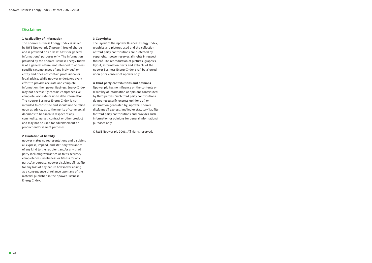# **Disclaimer**

#### **1 Availability of information**

**The npower Business Energy Index is issued by RWE Npower plc ('npower') free of charge and is provided on an 'as is' basis for general informational purposes only. The information provided by the npower Business Energy Index is of a general nature, not intended to address specific circumstances of any individual or entity and does not contain professional or legal advice. While npower undertakes every effort to provide accurate and complete information, the npower Business Energy Index may not necessarily contain comprehensive, complete, accurate or up to date information. The npower Business Energy Index is not intended to constitute and should not be relied upon as advice, as to the merits of commercial decisions to be taken in respect of any commodity, market, contract or other product and may not be used for advertisement or product endorsement purposes.**

## **2 Limitation of liability**

**npower makes no representations and disclaims all express, implied, and statutory warranties of any kind to the recipient and/or any third party including warranties as to its accuracy, completeness, usefulness or fitness for any particular purpose. npower disclaims all liability for any loss of any nature howsoever arising as a consequence of reliance upon any of the material published in the npower Business Energy Index.**

#### **3 Copyrights**

**The layout of the npower Business Energy Index, graphics and pictures used and the collection of third party contributions are protected by copyright. npower reserves all rights in respect thereof. The reproduction of pictures, graphics, layout, information, texts and extracts of the npower Business Energy Index shall be allowed upon prior consent of npower only.**

#### **4 Third party contributions and opinions**

**Npower plc has no influence on the contents or reliability of information or opinions contributed by third parties. Such third party contributions do not necessarily express opinions of, or information generated by, npower. npower disclaims all express, implied or statutory liability for third party contributions and provides such information or opinions for general informational purposes only.**

**© RWE Npower plc 2008. All rights reserved.**